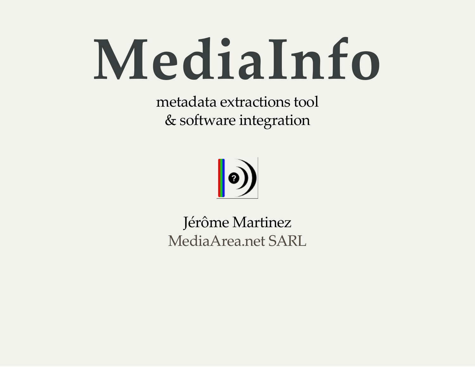# MediaInfo

metadata extractions tool & software integration



Jérôme Martinez [MediaArea.net](https://mediaarea.net/) SARL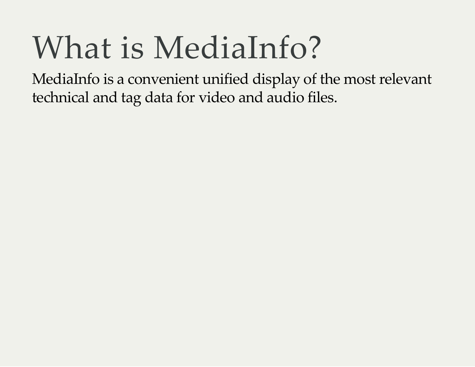#### What is MediaInfo?

MediaInfo is a convenient unified display of the most relevant technical and tag data for video and audio files.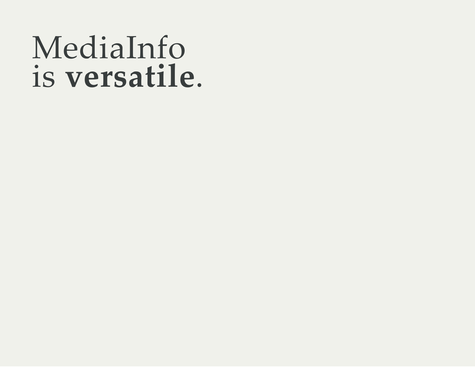#### MediaInfo is versatile.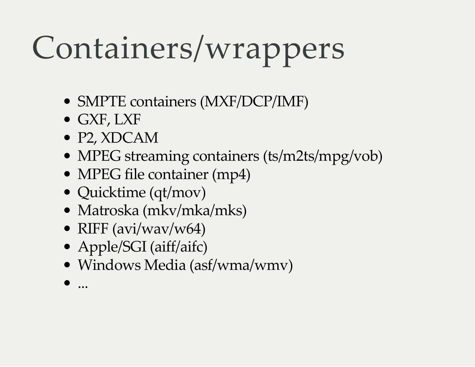# Containers/wrappers

- SMPTE containers (MXF/DCP/IMF)
- GXF, LXF
- P2, XDCAM
- MPEG streaming containers (ts/m2ts/mpg/vob)
- MPEG file container (mp4)
- Quicktime (qt/mov)
- Matroska (mkv/mka/mks)
- RIFF (avi/wav/w64)
- Apple/SGI (aiff/aifc)
- Windows Media (asf/wma/wmv)

...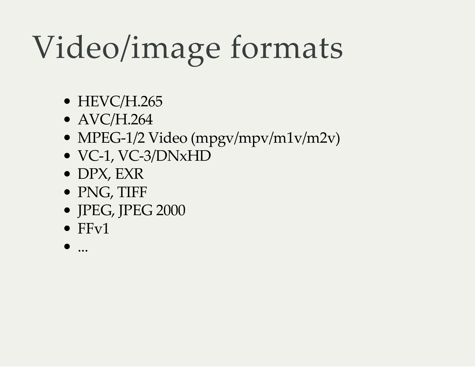# Video/image formats

- $\bullet$  HEVC/H.265
- AVC/H.264
- MPEG-1/2 Video (mpgv/mpv/m1v/m2v)
- VC-1, VC-3/DNxHD
- DPX, EXR
- PNG, TIFF
- JPEG, JPEG 2000
- $\bullet$  FFv1
- $\bullet$  ...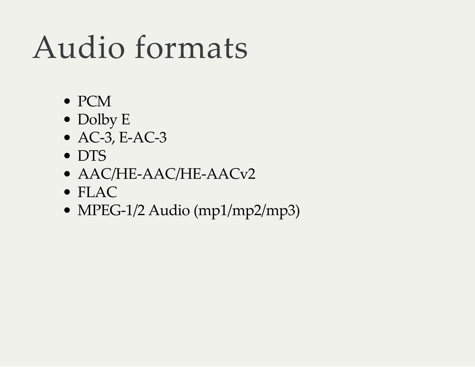#### Audio formats

- PCM
- Dolby E
- $\bullet$  AC-3, E-AC-3
- DTS
- AAC/HE-AAC/HE-AACv2
- FLAC
- MPEG-1/2 Audio (mp1/mp2/mp3)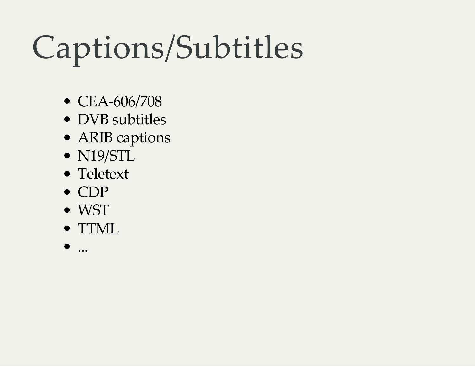# Captions/Subtitles

- CEA-606/708
- DVB subtitles
- ARIB captions
- N19/STL
- Teletext
- CDP
- WST
- TTML
- $\bullet$  ...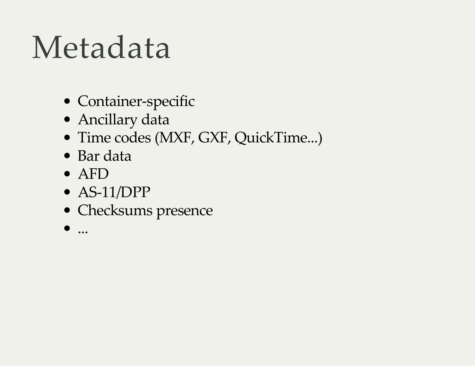#### Metadata

- Container-specific
- Ancillary data
- Time codes (MXF, GXF, QuickTime...)
- Bar data
- AFD
- AS-11/DPP
- Checksums presence
- $\bullet$  ...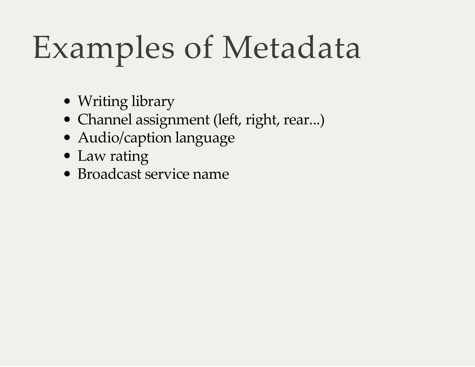# Examples of Metadata

- Writing library
- Channel assignment (left, right, rear...)
- Audio/caption language
- Law rating
- Broadcast service name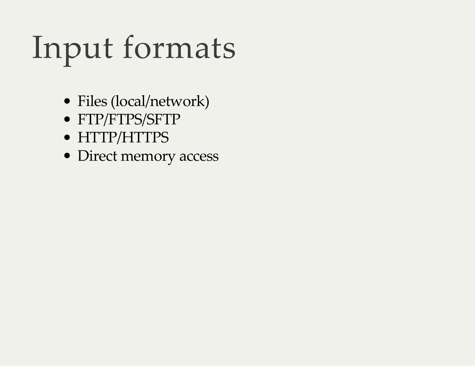# Input formats

- Files (local/network)
- FTP/FTPS/SFTP
- HTTP/HTTPS
- Direct memory access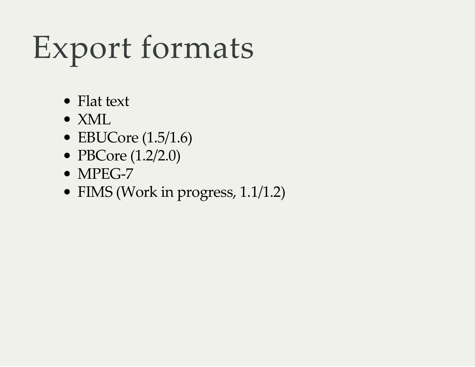# Export formats

- Flat text
- XML
- $\bullet$  EBUCore (1.5/1.6)
- PBCore (1.2/2.0)
- MPEG-7
- FIMS (Work in progress, 1.1/1.2)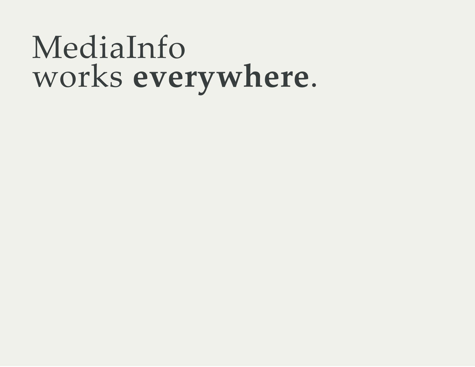#### MediaInfo works everywhere.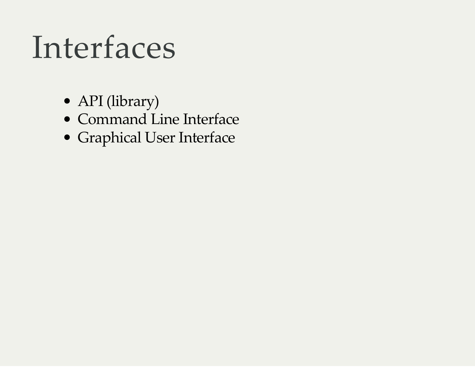#### Interfaces

- API (library)
- Command Line Interface
- Graphical User Interface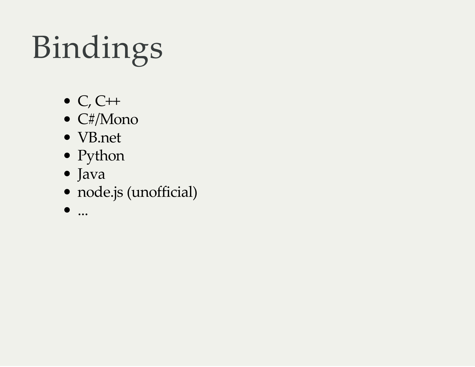# Bindings

- $\bullet$  C, C++
- C#/Mono
- VB.net
- Python
- Java
- node.js (unofficial)
- $\bullet$  ...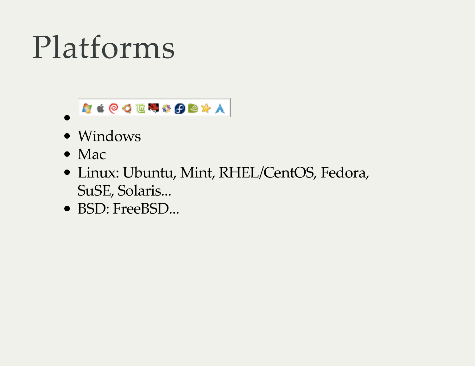#### Platforms

#### NOCTRIBOAN

- Windows
- Mac
- Linux: Ubuntu, Mint, RHEL/CentOS, Fedora, SuSE, Solaris...
- BSD: FreeBSD...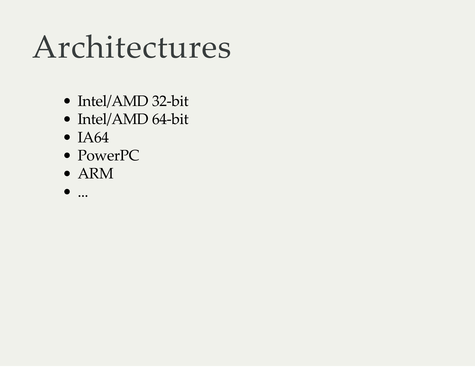#### Architectures

- Intel/AMD 32-bit
- Intel/AMD 64-bit
- $\bullet$  IA64
- PowerPC
- ARM
- $\bullet$  ...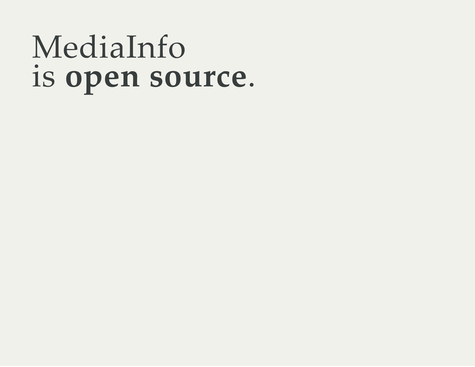#### MediaInfo is open source.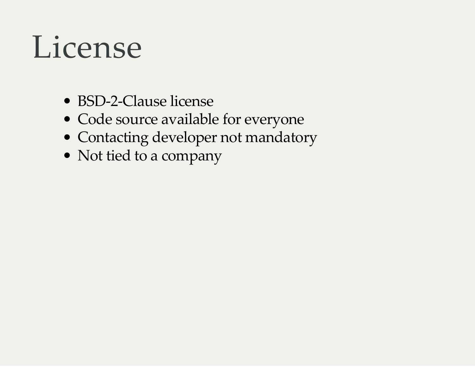#### License

- BSD-2-Clause license
- Code source available for everyone
- Contacting developer not mandatory
- Not tied to a company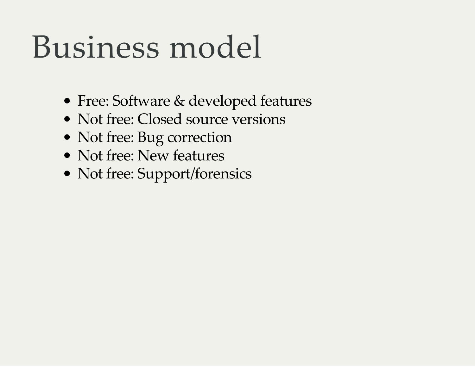#### Business model

- Free: Software & developed features
- Not free: Closed source versions
- Not free: Bug correction
- Not free: New features
- Not free: Support/forensics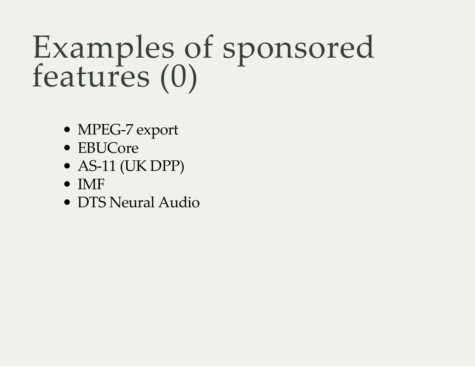#### Examples of sponsored features (0)

- MPEG-7 export
- EBUCore
- AS-11 (UK DPP)
- IMF
- DTS Neural Audio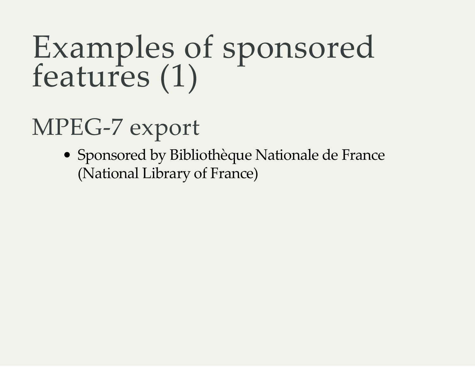#### Examples of sponsored features (1)

MPEG‑7 export

Sponsored by Bibliothèque Nationale de France (National Library of France)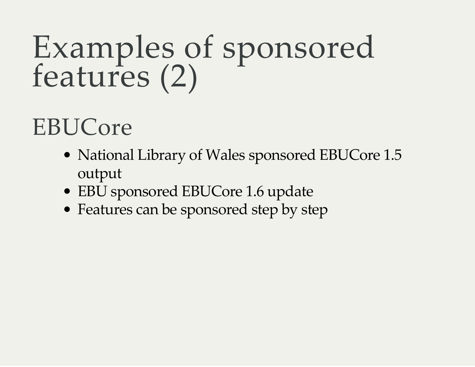#### Examples of sponsored features (2)

#### **EBUCore**

- National Library of Wales sponsored EBUCore 1.5 output
- EBU sponsored EBUCore 1.6 update
- Features can be sponsored step by step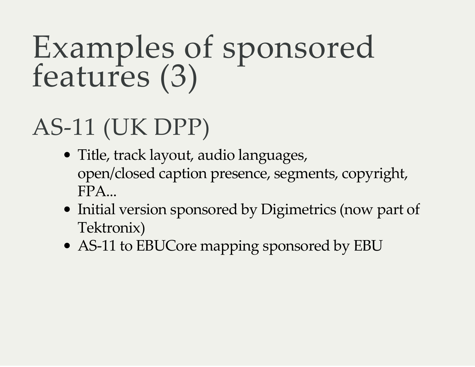#### Examples of sponsored features (3)

#### AS‑11 (UK DPP)

- Title, track layout, audio languages, open/closed caption presence, segments, copyright, FPA...
- Initial version sponsored by Digimetrics (now part of Tektronix)
- AS-11 to EBUCore mapping sponsored by EBU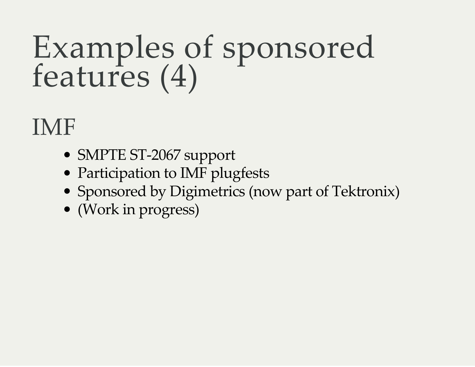#### Examples of sponsored features (4)

#### IMF

- SMPTE ST-2067 support
- Participation to IMF plugfests
- Sponsored by Digimetrics (now part of Tektronix)
- (Work in progress)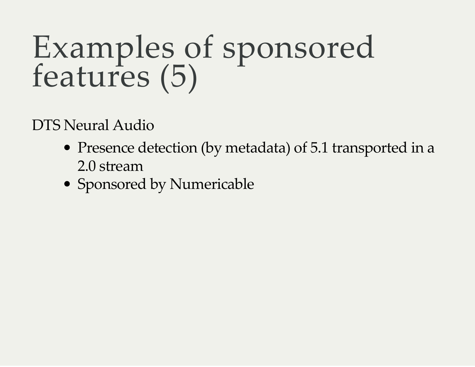#### Examples of sponsored features (5)

DTS Neural Audio

- Presence detection (by metadata) of 5.1 transported in a 2.0 stream
- Sponsored by Numericable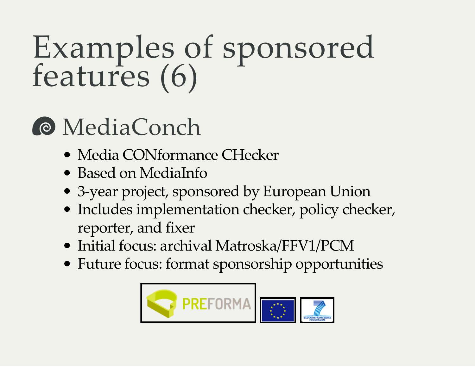#### Examples of sponsored features (6)

#### ὁ MediaConch

- Media CONformance CHecker
- Based on MediaInfo
- 3‑year project, sponsored by European Union
- Includes implementation checker, policy checker, reporter, and fixer
- Initial focus: archival Matroska/FFV1/PCM
- Future focus: format sponsorship opportunities

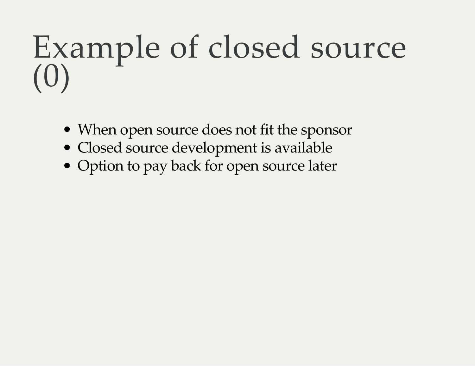#### Example of closed source (0)

- When open source does not fit the sponsor
- Closed source development is available
- Option to pay back for open source later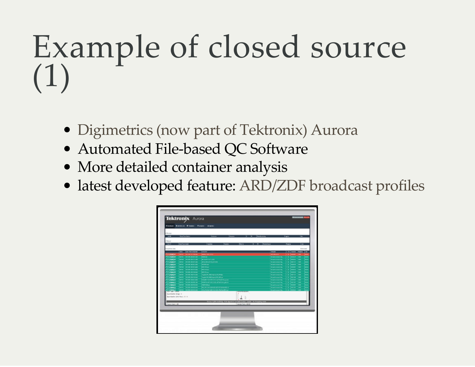#### Example of closed source (1)

- [Digimetrics](http://www.tek.com/aurora) (now part of Tektronix) Aurora
- Automated File-based QC Software
- More detailed container analysis
- latest developed feature: [ARD/ZDF](https://www.irt.de/en/publications/technical-guidelines.html) broadcast profiles

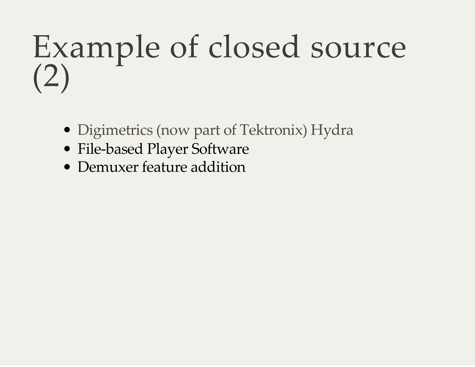#### Example of closed source (2)

- [Digimetrics](http://www.tek.com/hydra-frame-accurate-file-based-player-software) (now part of Tektronix) Hydra
- File-based Player Software
- Demuxer feature addition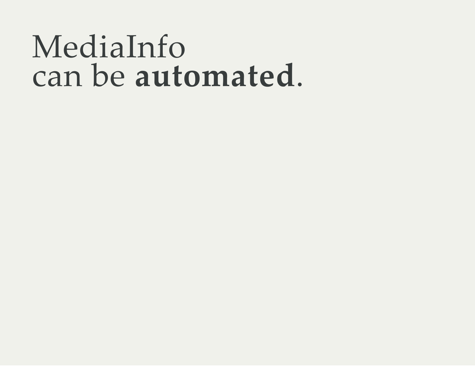#### MediaInfo can be automated.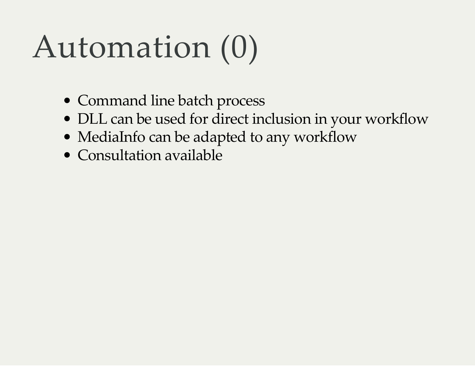# Automation (0)

- Command line batch process
- DLL can be used for direct inclusion in your workflow
- MediaInfo can be adapted to any workflow
- Consultation available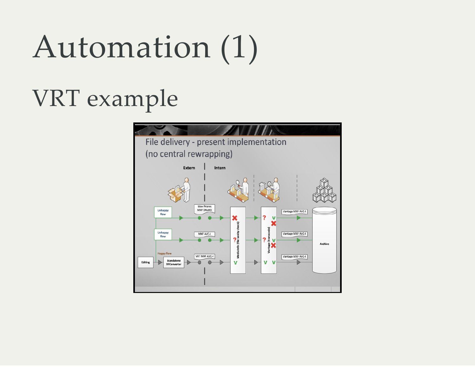# Automation (1)

#### VRT example

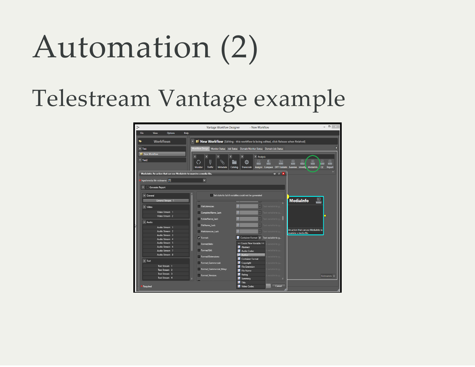# Automation (2)

#### Telestream Vantage example

| 5.                                                                   | <b>Vantage Workflow Designer</b>                                                   | - New Workflow                                                                        | $  \sqrt{2}$                                                                                                                         |
|----------------------------------------------------------------------|------------------------------------------------------------------------------------|---------------------------------------------------------------------------------------|--------------------------------------------------------------------------------------------------------------------------------------|
| <b>Options</b><br>Help<br>File<br><b>View</b>                        |                                                                                    |                                                                                       |                                                                                                                                      |
| <b>Workflows</b><br>η,                                               |                                                                                    | T Mew Workflow [Editing - this workflow is being edited, click Release when finished] |                                                                                                                                      |
| $\overline{\phantom{a}}$ Test                                        | <b>Workflow Design</b>                                                             | Monitor Status Job Status Domain Monitor Status Domain Job Status                     |                                                                                                                                      |
| New Workflow                                                         |                                                                                    |                                                                                       |                                                                                                                                      |
| $T = Test2$                                                          | Þ<br>Þ<br>g<br>⊙<br><b>Traffic</b><br>Catalog<br><b>Monitor</b><br><b>Metadata</b> | 4 Analysis<br>dpp<br>$\blacksquare$<br>Q<br>o<br>in in the<br>画<br>Transcode          | $\mathbb{Q}$<br>$\mathbb{C}$<br>$\mathbb{Q}$<br>$\circ$<br>9<br>Analyze Compare DPP Validate Examine Identify MediaInfo QC<br>Report |
| Medialnfo: An action that can use Medialnfo to examine a media file. |                                                                                    | $M$ $?$ $X$                                                                           |                                                                                                                                      |
| Input media file nickname:                                           |                                                                                    |                                                                                       |                                                                                                                                      |
| $\mathbf{v}$ $\Box$ Generate Report                                  |                                                                                    |                                                                                       |                                                                                                                                      |
|                                                                      |                                                                                    |                                                                                       |                                                                                                                                      |
| $\sim$ General<br>General Stream 1                                   |                                                                                    | Set state to fail if variables could not be generated                                 | $\overline{\mathbb{Q}}$<br><b>MediaInfo</b>                                                                                          |
| $\sim$ Video                                                         | FileExtension:                                                                     | Text variable to q                                                                    |                                                                                                                                      |
| Video Stream 1<br>Video Stream 2                                     | CompleteName_Last:                                                                 | Text variable to q                                                                    |                                                                                                                                      |
|                                                                      | FolderName_Last:                                                                   | Text variable to $a_{\cdots}$                                                         |                                                                                                                                      |
| $-$ Audio<br>Audio Stream 1                                          | FileName_Last:                                                                     | Text variable to g                                                                    |                                                                                                                                      |
| Audio Stream 2                                                       | FileExtension_Last:                                                                | Text variable to q                                                                    | An action that can use MediaInfo to<br>examine a media file.                                                                         |
| Audio Stream 3<br>Audio Stream 4                                     | $V$ Format:                                                                        | $\blacksquare$ Container Format $\vee$<br>Text variable to q                          |                                                                                                                                      |
| Audio Stream 5                                                       | Format/Info:                                                                       | << Create New Variable >><br>variable to q                                            |                                                                                                                                      |
| Audio Stream 6<br>Audio Stream 7                                     | Format/Url:                                                                        | Abstract<br>variable to g.,<br>Audio Codec                                            |                                                                                                                                      |
| Audio Stream 8                                                       | Format/Extensions:                                                                 | Author<br>variable to g.                                                              |                                                                                                                                      |
| $\blacktriangle$ Text                                                | Format_Commercial:                                                                 | Container Format<br>Copyright<br>variable to q.                                       |                                                                                                                                      |
| Text Stream 1                                                        |                                                                                    | File Extension                                                                        |                                                                                                                                      |
| Text Stream 2<br>Text Stream 3                                       | Format_Commercial_IfAny:                                                           | variable to g.<br>File Name                                                           |                                                                                                                                      |
| Text Stream 4                                                        | Format Version:                                                                    | Rating<br>variable to q.<br>Summary                                                   | Nicknames <sup>1</sup>                                                                                                               |
|                                                                      |                                                                                    | Title                                                                                 |                                                                                                                                      |
| Required                                                             |                                                                                    | Cancel<br>Video Codec<br>屈                                                            |                                                                                                                                      |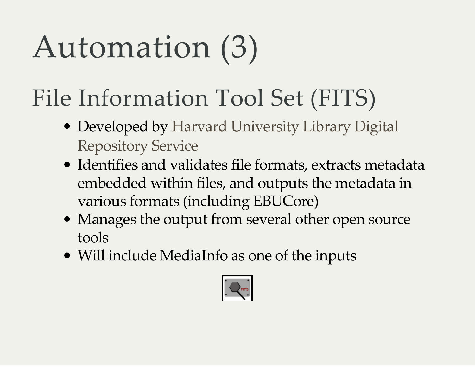# Automation (3)

#### File Information Tool Set (FITS)

- [Developed](http://projects.iq.harvard.edu/fits) by Harvard University Library Digital Repository Service
- Identifies and validates file formats, extracts metadata embedded within files, and outputs the metadata in various formats (including EBUCore)
- Manages the output from several other open source tools
- Will include MediaInfo as one of the inputs

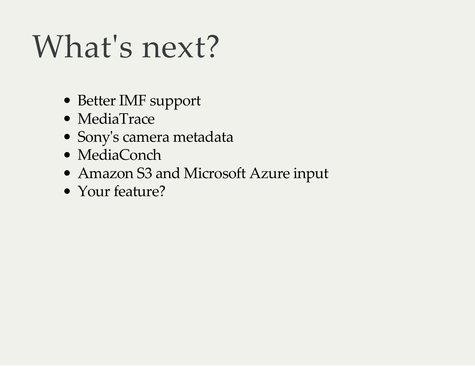#### What's next?

- Better IMF support
- MediaTrace
- Sonyʹs camera metadata
- MediaConch
- Amazon S3 and Microsoft Azure input
- Your feature?